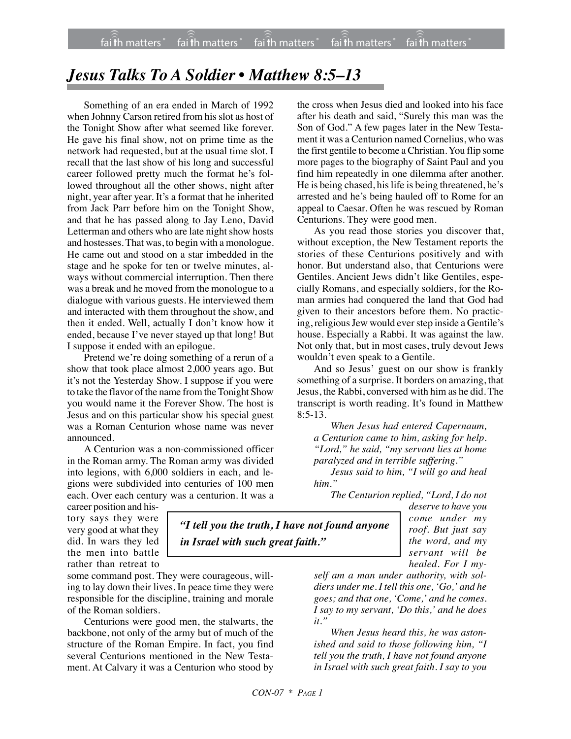## *Jesus Talks To A Soldier • Matthew 8:5–13*

Something of an era ended in March of 1992 when Johnny Carson retired from his slot as host of the Tonight Show after what seemed like forever. He gave his final show, not on prime time as the network had requested, but at the usual time slot. I recall that the last show of his long and successful career followed pretty much the format he's followed throughout all the other shows, night after night, year after year. It's a format that he inherited from Jack Parr before him on the Tonight Show, and that he has passed along to Jay Leno, David Letterman and others who are late night show hosts and hostesses. That was, to begin with a monologue. He came out and stood on a star imbedded in the stage and he spoke for ten or twelve minutes, always without commercial interruption. Then there was a break and he moved from the monologue to a dialogue with various guests. He interviewed them and interacted with them throughout the show, and then it ended. Well, actually I don't know how it ended, because I've never stayed up that long! But I suppose it ended with an epilogue.

Pretend we're doing something of a rerun of a show that took place almost 2,000 years ago. But it's not the Yesterday Show. I suppose if you were to take the flavor of the name from the Tonight Show you would name it the Forever Show. The host is Jesus and on this particular show his special guest was a Roman Centurion whose name was never announced.

A Centurion was a non-commissioned officer in the Roman army. The Roman army was divided into legions, with 6,000 soldiers in each, and legions were subdivided into centuries of 100 men each. Over each century was a centurion. It was a

the cross when Jesus died and looked into his face after his death and said, "Surely this man was the Son of God." A few pages later in the New Testament it was a Centurion named Cornelius, who was the first gentile to become a Christian. You flip some more pages to the biography of Saint Paul and you find him repeatedly in one dilemma after another. He is being chased, his life is being threatened, he's arrested and he's being hauled off to Rome for an appeal to Caesar. Often he was rescued by Roman Centurions. They were good men.

As you read those stories you discover that, without exception, the New Testament reports the stories of these Centurions positively and with honor. But understand also, that Centurions were Gentiles. Ancient Jews didn't like Gentiles, especially Romans, and especially soldiers, for the Roman armies had conquered the land that God had given to their ancestors before them. No practicing, religious Jew would ever step inside a Gentile's house. Especially a Rabbi. It was against the law. Not only that, but in most cases, truly devout Jews wouldn't even speak to a Gentile.

And so Jesus' guest on our show is frankly something of a surprise. It borders on amazing, that Jesus, the Rabbi, conversed with him as he did. The transcript is worth reading. It's found in Matthew  $8:5-13$ .

*When Jesus had entered Capernaum, a Centurion came to him, asking for help. "Lord," he said, "my servant lies at home paralyzed and in terrible suffering."*

*Jesus said to him, "I will go and heal him."*

*The Centurion replied, "Lord, I do not*

career position and history says they were very good at what they did. In wars they led the men into battle rather than retreat to

some command post. They were courageous, willing to lay down their lives. In peace time they were responsible for the discipline, training and morale of the Roman soldiers.

Centurions were good men, the stalwarts, the backbone, not only of the army but of much of the structure of the Roman Empire. In fact, you find several Centurions mentioned in the New Testament. At Calvary it was a Centurion who stood by

*"I tell you the truth, I have not found anyone in Israel with such great faith."*

*come under my roof. But just say the word, and my servant will be healed. For I my-*

*deserve to have you*

*self am a man under authority, with soldiers under me. I tell this one, 'Go,' and he goes; and that one, 'Come,' and he comes. I say to my servant, 'Do this,' and he does it."*

*When Jesus heard this, he was astonished and said to those following him, "I tell you the truth, I have not found anyone in Israel with such great faith. I say to you*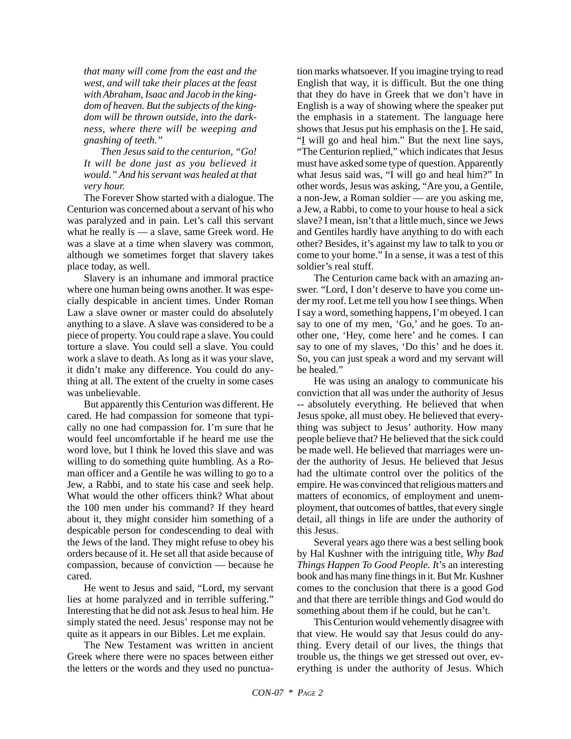*that many will come from the east and the west, and will take their places at the feast with Abraham, Isaac and Jacob in the kingdom of heaven. But the subjects of the kingdom will be thrown outside, into the darkness, where there will be weeping and gnashing of teeth."*

*Then Jesus said to the centurion, "Go! It will be done just as you believed it would." And his servant was healed at that very hour.*

The Forever Show started with a dialogue. The Centurion was concerned about a servant of his who was paralyzed and in pain. Let's call this servant what he really is — a slave, same Greek word. He was a slave at a time when slavery was common, although we sometimes forget that slavery takes place today, as well.

Slavery is an inhumane and immoral practice where one human being owns another. It was especially despicable in ancient times. Under Roman Law a slave owner or master could do absolutely anything to a slave. A slave was considered to be a piece of property. You could rape a slave. You could torture a slave. You could sell a slave. You could work a slave to death. As long as it was your slave, it didn't make any difference. You could do anything at all. The extent of the cruelty in some cases was unbelievable.

But apparently this Centurion was different. He cared. He had compassion for someone that typically no one had compassion for. I'm sure that he would feel uncomfortable if he heard me use the word love, but I think he loved this slave and was willing to do something quite humbling. As a Roman officer and a Gentile he was willing to go to a Jew, a Rabbi, and to state his case and seek help. What would the other officers think? What about the 100 men under his command? If they heard about it, they might consider him something of a despicable person for condescending to deal with the Jews of the land. They might refuse to obey his orders because of it. He set all that aside because of compassion, because of conviction — because he cared.

He went to Jesus and said, "Lord, my servant lies at home paralyzed and in terrible suffering." Interesting that he did not ask Jesus to heal him. He simply stated the need. Jesus' response may not be quite as it appears in our Bibles. Let me explain.

The New Testament was written in ancient Greek where there were no spaces between either the letters or the words and they used no punctuation marks whatsoever. If you imagine trying to read English that way, it is difficult. But the one thing that they do have in Greek that we don't have in English is a way of showing where the speaker put the emphasis in a statement. The language here shows that Jesus put his emphasis on the I. He said, "I will go and heal him." But the next line says, "The Centurion replied," which indicates that Jesus must have asked some type of question. Apparently what Jesus said was, "I will go and heal him?" In other words, Jesus was asking, "Are you, a Gentile, a non-Jew, a Roman soldier — are you asking me, a Jew, a Rabbi, to come to your house to heal a sick slave? I mean, isn't that a little much, since we Jews and Gentiles hardly have anything to do with each other? Besides, it's against my law to talk to you or come to your home." In a sense, it was a test of this soldier's real stuff.

The Centurion came back with an amazing answer. "Lord, I don't deserve to have you come under my roof. Let me tell you how I see things. When I say a word, something happens, I'm obeyed. I can say to one of my men, 'Go,' and he goes. To another one, 'Hey, come here' and he comes. I can say to one of my slaves, 'Do this' and he does it. So, you can just speak a word and my servant will be healed."

He was using an analogy to communicate his conviction that all was under the authority of Jesus -- absolutely everything. He believed that when Jesus spoke, all must obey. He believed that everything was subject to Jesus' authority. How many people believe that? He believed that the sick could be made well. He believed that marriages were under the authority of Jesus. He believed that Jesus had the ultimate control over the politics of the empire. He was convinced that religious matters and matters of economics, of employment and unemployment, that outcomes of battles, that every single detail, all things in life are under the authority of this Jesus.

Several years ago there was a best selling book by Hal Kushner with the intriguing title, *Why Bad Things Happen To Good People. I*t's an interesting book and has many fine things in it. But Mr. Kushner comes to the conclusion that there is a good God and that there are terrible things and God would do something about them if he could, but he can't.

This Centurion would vehemently disagree with that view. He would say that Jesus could do anything. Every detail of our lives, the things that trouble us, the things we get stressed out over, everything is under the authority of Jesus. Which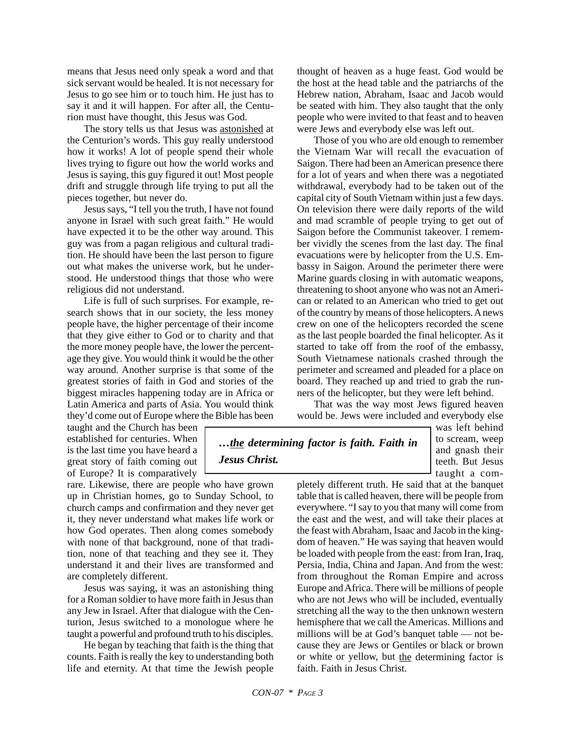means that Jesus need only speak a word and that sick servant would be healed. It is not necessary for Jesus to go see him or to touch him. He just has to say it and it will happen. For after all, the Centurion must have thought, this Jesus was God.

The story tells us that Jesus was astonished at the Centurion's words. This guy really understood how it works! A lot of people spend their whole lives trying to figure out how the world works and Jesus is saying, this guy figured it out! Most people drift and struggle through life trying to put all the pieces together, but never do.

Jesus says, "I tell you the truth, I have not found anyone in Israel with such great faith." He would have expected it to be the other way around. This guy was from a pagan religious and cultural tradition. He should have been the last person to figure out what makes the universe work, but he understood. He understood things that those who were religious did not understand.

Life is full of such surprises. For example, research shows that in our society, the less money people have, the higher percentage of their income that they give either to God or to charity and that the more money people have, the lower the percentage they give. You would think it would be the other way around. Another surprise is that some of the greatest stories of faith in God and stories of the biggest miracles happening today are in Africa or Latin America and parts of Asia. You would think they'd come out of Europe where the Bible has been

taught and the Church has been established for centuries. When is the last time you have heard a great story of faith coming out of Europe? It is comparatively

rare. Likewise, there are people who have grown up in Christian homes, go to Sunday School, to church camps and confirmation and they never get it, they never understand what makes life work or how God operates. Then along comes somebody with none of that background, none of that tradition, none of that teaching and they see it. They understand it and their lives are transformed and are completely different.

Jesus was saying, it was an astonishing thing for a Roman soldier to have more faith in Jesus than any Jew in Israel. After that dialogue with the Centurion, Jesus switched to a monologue where he taught a powerful and profound truth to his disciples.

He began by teaching that faith is the thing that counts. Faith is really the key to understanding both life and eternity. At that time the Jewish people thought of heaven as a huge feast. God would be the host at the head table and the patriarchs of the Hebrew nation, Abraham, Isaac and Jacob would be seated with him. They also taught that the only people who were invited to that feast and to heaven were Jews and everybody else was left out.

Those of you who are old enough to remember the Vietnam War will recall the evacuation of Saigon. There had been an American presence there for a lot of years and when there was a negotiated withdrawal, everybody had to be taken out of the capital city of South Vietnam within just a few days. On television there were daily reports of the wild and mad scramble of people trying to get out of Saigon before the Communist takeover. I remember vividly the scenes from the last day. The final evacuations were by helicopter from the U.S. Embassy in Saigon. Around the perimeter there were Marine guards closing in with automatic weapons, threatening to shoot anyone who was not an American or related to an American who tried to get out of the country by means of those helicopters. A news crew on one of the helicopters recorded the scene as the last people boarded the final helicopter. As it started to take off from the roof of the embassy, South Vietnamese nationals crashed through the perimeter and screamed and pleaded for a place on board. They reached up and tried to grab the runners of the helicopter, but they were left behind.

That was the way most Jews figured heaven would be. Jews were included and everybody else

## *…the determining factor is faith. Faith in Jesus Christ.*

was left behind to scream, weep and gnash their teeth. But Jesus taught a com-

pletely different truth. He said that at the banquet table that is called heaven, there will be people from everywhere. "I say to you that many will come from the east and the west, and will take their places at the feast with Abraham, Isaac and Jacob in the kingdom of heaven." He was saying that heaven would be loaded with people from the east: from Iran, Iraq, Persia, India, China and Japan. And from the west: from throughout the Roman Empire and across Europe and Africa. There will be millions of people who are not Jews who will be included, eventually stretching all the way to the then unknown western hemisphere that we call the Americas. Millions and millions will be at God's banquet table — not because they are Jews or Gentiles or black or brown or white or yellow, but the determining factor is faith. Faith in Jesus Christ.